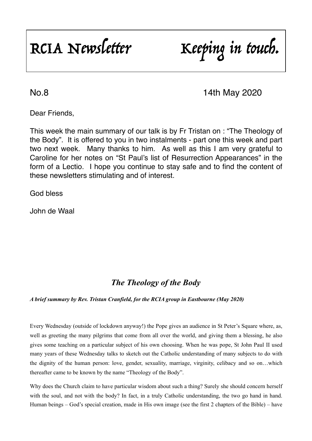RCIA Newsletter Keeping in touch.

No.8 14th May 2020

Dear Friends,

This week the main summary of our talk is by Fr Tristan on : "The Theology of the Body". It is offered to you in two instalments - part one this week and part two next week. Many thanks to him. As well as this I am very grateful to Caroline for her notes on "St Paul's list of Resurrection Appearances" in the form of a Lectio. I hope you continue to stay safe and to find the content of these newsletters stimulating and of interest.

God bless

John de Waal

# *The Theology of the Body*

*A brief summary by Rev. Tristan Cranfield, for the RCIA group in Eastbourne (May 2020)* 

Every Wednesday (outside of lockdown anyway!) the Pope gives an audience in St Peter's Square where, as, well as greeting the many pilgrims that come from all over the world, and giving them a blessing, he also gives some teaching on a particular subject of his own choosing. When he was pope, St John Paul II used many years of these Wednesday talks to sketch out the Catholic understanding of many subjects to do with the dignity of the human person: love, gender, sexuality, marriage, virginity, celibacy and so on…which thereafter came to be known by the name "Theology of the Body".

Why does the Church claim to have particular wisdom about such a thing? Surely she should concern herself with the soul, and not with the body? In fact, in a truly Catholic understanding, the two go hand in hand. Human beings – God's special creation, made in His own image (see the first 2 chapters of the Bible) – have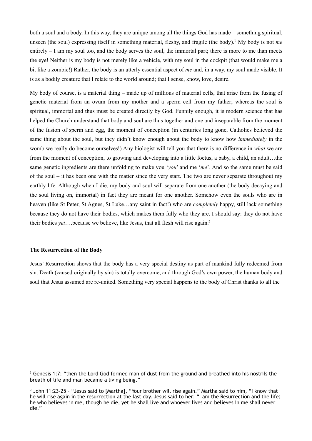<span id="page-1-2"></span>both a soul and a body. In this way, they are unique among all the things God has made – something spiritual, unseen (the soul) expressing itself in something material, fleshy, and fragile (the body).<sup>1</sup> My body is not *me* entirely – I am my soul too, and the body serves the soul, the immortal part; there is more to me than meets the eye! Neither is my body is not merely like a vehicle, with my soul in the cockpit (that would make me a bit like a zombie!) Rather, the body is an utterly essential aspect of *me* and, in a way, my soul made visible. It is as a bodily creature that I relate to the world around; that I sense, know, love, desire.

My body of course, is a material thing – made up of millions of material cells, that arise from the fusing of genetic material from an ovum from my mother and a sperm cell from my father; whereas the soul is spiritual, immortal and thus must be created directly by God. Funnily enough, it is modern science that has helped the Church understand that body and soul are thus together and one and inseparable from the moment of the fusion of sperm and egg, the moment of conception (in centuries long gone, Catholics believed the same thing about the soul, but they didn't know enough about the body to know how *immediately* in the womb we really do become ourselves!) Any biologist will tell you that there is no difference in *what* we are from the moment of conception, to growing and developing into a little foetus, a baby, a child, an adult…the same genetic ingredients are there unfolding to make you '*you*' and me '*me*'. And so the same must be said of the soul – it has been one with the matter since the very start. The two are never separate throughout my earthly life. Although when I die, my body and soul will separate from one another (the body decaying and the soul living on, immortal) in fact they are meant for one another. Somehow even the souls who are in heaven (like St Peter, St Agnes, St Luke…any saint in fact!) who are *completely* happy, still lack something because they do not have their bodies, which makes them fully who they are. I should say: they do not have their bodies *yet*….because we believe, like Jesus, that all flesh will rise again[.2](#page-1-1)

### <span id="page-1-3"></span>**The Resurrection of the Body**

Jesus' Resurrection shows that the body has a very special destiny as part of mankind fully redeemed from sin. Death (caused originally by sin) is totally overcome, and through God's own power, the human body and soul that Jesus assumed are re-united. Something very special happens to the body of Christ thanks to all the

<span id="page-1-0"></span><sup>&</sup>lt;sup>[1](#page-1-2)</sup> Genesis 1:7: "then the Lord God formed man of dust from the ground and breathed into his nostrils the breath of life and man became a living being."

<span id="page-1-1"></span> $2$  John 11:23-25 - "Jesus said to [Martha], "Your brother will rise again." Martha said to him, "I know that he will rise again in the resurrection at the last day. Jesus said to her: "I am the Resurrection and the life; he who believes in me, though he die, yet he shall live and whoever lives and believes in me shall never die."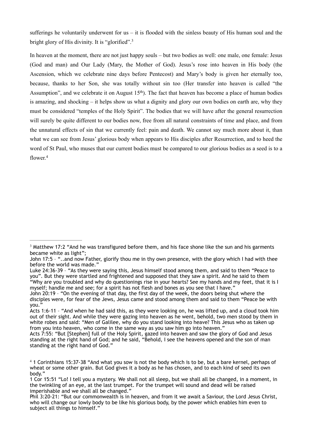sufferings he voluntarily underwent for us – it is flooded with the sinless beauty of His human soul and the bright glory of His divinity. It is "glorified".<sup>[3](#page-2-0)</sup>

<span id="page-2-2"></span>In heaven at the moment, there are not just happy souls – but two bodies as well: one male, one female: Jesus (God and man) and Our Lady (Mary, the Mother of God). Jesus's rose into heaven in His body (the Ascension, which we celebrate nine days before Pentecost) and Mary's body is given her eternally too, because, thanks to her Son, she was totally without sin too (Her transfer into heaven is called "the Assumption", and we celebrate it on August  $15<sup>th</sup>$ ). The fact that heaven has become a place of human bodies is amazing, and shocking – it helps show us what a dignity and glory our own bodies on earth are, why they must be considered "temples of the Holy Spirit". The bodies that we will have after the general resurrection will surely be quite different to our bodies now, free from all natural constraints of time and place, and from the unnatural effects of sin that we currently feel: pain and death. We cannot say much more about it, than what we can see from Jesus' glorious body when appears to His disciples after Resurrection, and to heed the word of St Paul, who muses that our current bodies must be compared to our glorious bodies as a seed is to a flower<sup>[4](#page-2-1)</sup>

<span id="page-2-3"></span><span id="page-2-0"></span> $3$  Matthew 17:2 "And he was transfigured before them, and his face shone like the sun and his garments became white as light";

John 17:5 – "..and now Father, glorify thou me in thy own presence, with the glory which I had with thee before the world was made."

Luke 24:36-39 – "As they were saying this, Jesus himself stood among them, and said to them "Peace to you". But they were startled and frightened and supposed that they saw a spirit. And he said to them "Why are you troubled and why do questionings rise in your hearts? See my hands and my feet, that it is I myself; handle me and see; for a spirit has not flesh and bones as you see that I have."

John 20:19 – "On the evening of that day, the first day of the week, the doors being shut where the disciples were, for fear of the Jews, Jesus came and stood among them and said to them "Peace be with you."

Acts 1:6-11 – "And when he had said this, as they were looking on, he was lifted up, and a cloud took him out of their sight. And while they were gazing into heaven as he went, behold, two men stood by them in white robes and said: "Men of Galilee, why do you stand looking into heave? This Jesus who as taken up from you into heaven, who come in the same way as you saw him go into heaven."

Acts 7:55: "But [Stephen] full of the Holy Spirit, gazed into heaven and saw the glory of God and Jesus standing at the right hand of God; and he said, "Behold, I see the heavens opened and the son of man standing at the right hand of God."

<span id="page-2-1"></span><sup>&</sup>lt;sup>[4](#page-2-3)</sup> 1 Corinthians 15:37-38 "And what you sow is not the body which is to be, but a bare kernel, perhaps of wheat or some other grain. But God gives it a body as he has chosen, and to each kind of seed its own body."

<sup>1</sup> Cor 15:51 "Lo! I tell you a mystery. We shall not all sleep, but we shall all be changed, in a moment, in the twinkling of an eye, at the last trumpet. For the trumpet will sound and dead will be raised imperishable and we shall all be changed."

Phil 3:20-21: "But our commonwealth is in heaven, and from it we await a Saviour, the Lord Jesus Christ, who will change our lowly body to be like his glorious body, by the power which enables him even to subject all things to himself."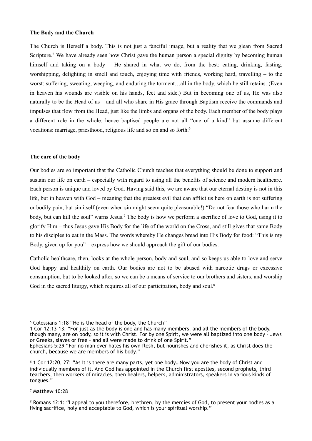#### **The Body and the Church**

<span id="page-3-4"></span>The Church is Herself a body. This is not just a fanciful image, but a reality that we glean from Sacred Scripture[.](#page-3-0)<sup>[5](#page-3-0)</sup> We have already seen how Christ gave the human person a special dignity by becoming human himself and taking on a body – He shared in what we do, from the best: eating, drinking, fasting, worshipping, delighting in smell and touch, enjoying time with friends, working hard, travelling – to the worst: suffering, sweating, weeping, and enduring the torment...all in the body, which he still retains. (Even in heaven his wounds are visible on his hands, feet and side.) But in becoming one of us, He was also naturally to be the Head of us – and all who share in His grace through Baptism receive the commands and impulses that flow from the Head, just like the limbs and organs of the body. Each member of the body plays a different role in the whole: hence baptised people are not all "one of a kind" but assume different vocations: marriage, priesthood, religious life and so on and so forth.<sup>6</sup>

#### <span id="page-3-5"></span>**The care of the body**

Our bodies are so important that the Catholic Church teaches that everything should be done to support and sustain our life on earth – especially with regard to using all the benefits of science and modern healthcare. Each person is unique and loved by God. Having said this, we are aware that our eternal destiny is not in this life, but in heaven with God – meaning that the greatest evil that can afflict us here on earth is not suffering or bodily pain, but sin itself (even when sin might seem quite pleasurable!) "Do not fear those who harm the body, but can kill the soul" warns Jesus.<sup>[7](#page-3-2)</sup> The body is how we perform a sacrifice of love to God, using it to glorify Him – thus Jesus gave His Body for the life of the world on the Cross, and still gives that same Body to his disciples to eat in the Mass. The words whereby He changes bread into His Body for food: "This is my Body, given up for you" – express how we should approach the gift of our bodies.

<span id="page-3-6"></span>Catholic healthcare, then, looks at the whole person, body and soul, and so keeps us able to love and serve God happy and healthily on earth. Our bodies are not to be abused with narcotic drugs or excessive consumption, but to be looked after, so we can be a means of service to our brothers and sisters, and worship God in the sacred liturgy, which requires all of our participation, body and soul.<sup>8</sup>

<span id="page-3-0"></span>1 Cor 12:13-13: "For just as the body is one and has many members, and all the members of the body, though many, are on body, so it is with Christ. For by one Spirit, we were all baptized into one body – Jews or Greeks, slaves or free – and all were made to drink of one Spirit."

<span id="page-3-2"></span> $7$  Matthew 10:28

<span id="page-3-7"></span> $5$  Colossians 1:18 "He is the head of the body, the Church"

Ephesians 5:29 "For no man ever hates his own flesh, but nourishes and cherishes it, as Christ does the church, because we are members of his body."

<span id="page-3-1"></span> $6$  1 Cor 12:20, 27: "As it is there are many parts, yet one body... Now you are the body of Christ and individually members of it. And God has appointed in the Church first apostles, second prophets, third teachers, then workers of miracles, then healers, helpers, administrators, speakers in various kinds of tongues."

<span id="page-3-3"></span><sup>&</sup>lt;sup>[8](#page-3-7)</sup> Romans 12:1: "I appeal to you therefore, brethren, by the mercies of God, to present your bodies as a living sacrifice, holy and acceptable to God, which is your spiritual worship."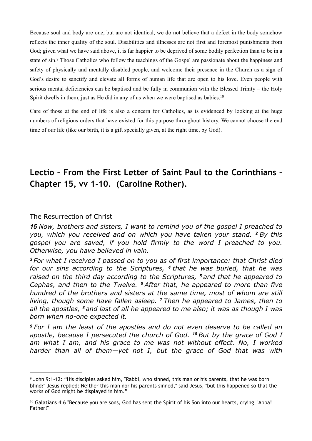<span id="page-4-2"></span>Because soul and body are one, but are not identical, we do not believe that a defect in the body somehow reflects the inner quality of the soul. Disabilities and illnesses are not first and foremost punishments from God; given what we have said above, it is far happier to be deprived of some bodily perfection than to be in a state of sin[.](#page-4-0)<sup>[9](#page-4-0)</sup> Those Catholics who follow the teachings of the Gospel are passionate about the happiness and safety of physically and mentally disabled people, and welcome their presence in the Church as a sign of God's desire to sanctify and elevate all forms of human life that are open to his love. Even people with serious mental deficiencies can be baptised and be fully in communion with the Blessed Trinity – the Holy Spirit dwells in them, just as He did in any of us when we were baptised as babies.<sup>10</sup>

<span id="page-4-3"></span>Care of those at the end of life is also a concern for Catholics, as is evidenced by looking at the huge numbers of religious orders that have existed for this purpose throughout history. We cannot choose the end time of our life (like our birth, it is a gift specially given, at the right time, by God).

# **Lectio – From the First Letter of Saint Paul to the Corinthians – Chapter 15, vv 1-10. (Caroline Rother).**

### The Resurrection of Christ

*15 Now, brothers and sisters, I want to remind you of the gospel I preached to you, which you received and on which you have taken your stand. <sup>2</sup>By this gospel you are saved, if you hold firmly to the word I preached to you. Otherwise, you have believed in vain.* 

*<sup>3</sup>For what I received I passed on to you as of first importance: that Christ died for our sins according to the Scriptures, <sup>4</sup>that he was buried, that he was raised on the third day according to the Scriptures, <sup>5</sup>and that he appeared to Cephas, and then to the Twelve. <sup>6</sup>After that, he appeared to more than five hundred of the brothers and sisters at the same time, most of whom are still living, though some have fallen asleep. <sup>7</sup>Then he appeared to James, then to all the apostles, <sup>8</sup>and last of all he appeared to me also; it was as though I was born when no-one expected it.* 

*<sup>9</sup>For I am the least of the apostles and do not even deserve to be called an apostle, because I persecuted the church of God. <sup>10</sup>But by the grace of God I am what I am, and his grace to me was not without effect. No, I worked harder than all of them—yet not I, but the grace of God that was with* 

<span id="page-4-0"></span><sup>&</sup>lt;sup>[9](#page-4-2)</sup> John 9:1-12: "His disciples asked him, "Rabbi, who sinned, this man or his parents, that he was born blind?" Jesus replied: Neither this man nor his parents sinned," said Jesus, "but this happened so that the works of God might be displayed in him."

<span id="page-4-1"></span> $10$  Galatians 4:6 "Because you are sons, God has sent the Spirit of his Son into our hearts, crying, 'Abba! Father!"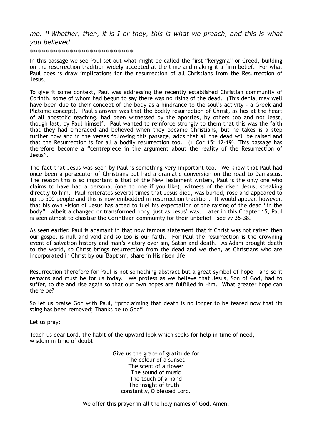*me. <sup>11</sup>Whether, then, it is I or they, this is what we preach, and this is what you believed.* 

\*\*\*\*\*\*\*\*\*\*\*\*\*\*\*\*\*\*\*\*\*\*\*\*\*\*

In this passage we see Paul set out what might be called the first "kerygma" or Creed, building on the resurrection tradition widely accepted at the time and making it a firm belief. For what Paul does is draw implications for the resurrection of all Christians from the Resurrection of Jesus.

To give it some context, Paul was addressing the recently established Christian community of Corinth, some of whom had begun to say there was no rising of the dead. (This denial may well have been due to their concept of the body as a hindrance to the soul's activity - a Greek and Platonic concept). Paul's answer was that the bodily resurrection of Christ, as lies at the heart of all apostolic teaching, had been witnessed by the apostles, by others too and not least, though last, by Paul himself. Paul wanted to reinforce strongly to them that this was the faith that they had embraced and believed when they became Christians, but he takes is a step further now and in the verses following this passage, adds that **all** the dead will be raised and that the Resurrection is for all a bodily resurrection too. (1 Cor 15: 12-19). This passage has therefore become a "centrepiece in the argument about the reality of the Resurrection of Jesus".

The fact that Jesus was seen by Paul is something very important too. We know that Paul had once been a persecutor of Christians but had a dramatic conversion on the road to Damascus. The reason this is so important is that of the New Testament writers, Paul is the only one who claims to have had a personal (one to one if you like), witness of the risen Jesus, speaking directly to him. Paul reiterates several times that Jesus died, was buried, rose and appeared to up to 500 people and this is now embedded in resurrection tradition. It would appear, however, that his own vision of Jesus has acted to fuel his expectation of the raising of the dead "in the body" – albeit a changed or transformed body, just as Jesus' was. Later in this Chapter 15, Paul is seen almost to chastise the Corinthian community for their unbelief – see vv 35-38.

As seen earlier, Paul is adamant in that now famous statement that if Christ was not raised then our gospel is null and void and so too is our faith. For Paul the resurrection is the crowning event of salvation history and man's victory over sin, Satan and death. As Adam brought death to the world, so Christ brings resurrection from the dead and we then, as Christians who are incorporated in Christ by our Baptism, share in His risen life.

Resurrection therefore for Paul is not something abstract but a great symbol of hope – and so it remains and must be for us today. We profess as we believe that Jesus, Son of God, had to suffer, to die and rise again so that our own hopes are fulfilled in Him. What greater hope can there be?

So let us praise God with Paul, "proclaiming that death is no longer to be feared now that its sting has been removed; Thanks be to God"

Let us pray:

Teach us dear Lord, the habit of the upward look which seeks for help in time of need, wisdom in time of doubt.

> Give us the grace of gratitude for The colour of a sunset The scent of a flower The sound of music The touch of a hand The insight of truth – constantly, O blessed Lord.

We offer this prayer in all the holy names of God. Amen.